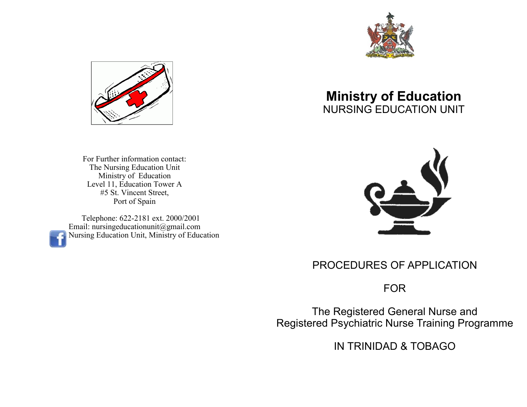



For Further information contact: The Nursing Education Unit Ministry of Education Level 11, Education Tower A #5 St. Vincent Street, Port of Spain

 Telephone: 622-2181 ext. 2000/2001 Email: nursingeducationunit@gmail.com Nursing Education Unit, Ministry of Education

# **Ministry of Education** NURSING EDUCATION UNIT



## PROCEDURES OF APPLICATION

FOR

The Registered General Nurse and Registered Psychiatric Nurse Training Programme

IN TRINIDAD & TOBAGO